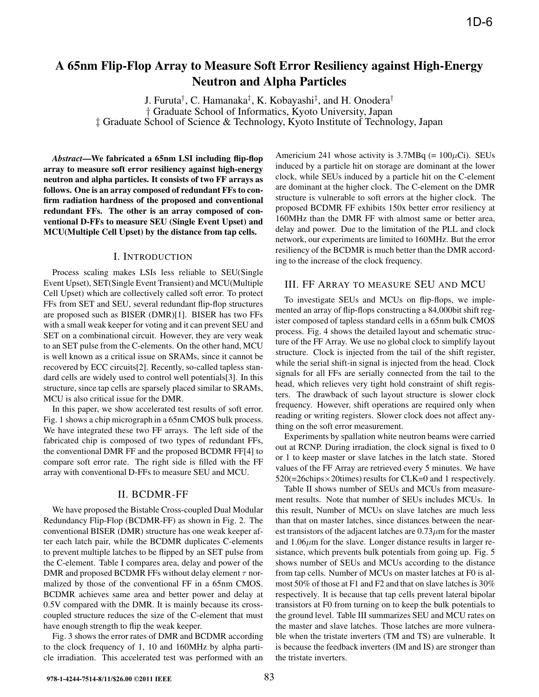# **A 65nm Flip-Flop Array to Measure Soft Error Resiliency against High-Energy Neutron and Alpha Particles**

J. Furuta† , C. Hamanaka‡ , K. Kobayashi‡ , and H. Onodera† † Graduate School of Informatics, Kyoto University, Japan ‡ Graduate School of Science & Technology, Kyoto Institute of Technology, Japan

*Abstract***—We fabricated a 65nm LSI including flip-flop array to measure soft error resiliency against high-energy neutron and alpha particles. It consists of two FF arrays as follows. One is an array composed of redundant FFs to confirm radiation hardness of the proposed and conventional redundant FFs. The other is an array composed of conventional D-FFs to measure SEU (Single Event Upset) and MCU(Multiple Cell Upset) by the distance from tap cells.**

### I. INTRODUCTION

Process scaling makes LSIs less reliable to SEU(Single Event Upset), SET(Single Event Transient) and MCU(Multiple Cell Upset) which are collectively called soft error. To protect FFs from SET and SEU, several redundant flip-flop structures are proposed such as BISER (DMR)[1]. BISER has two FFs with a small weak keeper for voting and it can prevent SEU and SET on a combinational circuit. However, they are very weak to an SET pulse from the C-elements. On the other hand, MCU is well known as a critical issue on SRAMs, since it cannot be recovered by ECC circuits[2]. Recently, so-called tapless standard cells are widely used to control well potentials[3]. In this structure, since tap cells are sparsely placed similar to SRAMs, MCU is also critical issue for the DMR.

In this paper, we show accelerated test results of soft error. Fig. 1 shows a chip micrograph in a 65nm CMOS bulk process. We have integrated these two FF arrays. The left side of the fabricated chip is composed of two types of redundant FFs, the conventional DMR FF and the proposed BCDMR FF[4] to compare soft error rate. The right side is filled with the FF array with conventional D-FFs to measure SEU and MCU.

#### II. BCDMR-FF

We have proposed the Bistable Cross-coupled Dual Modular Redundancy Flip-Flop (BCDMR-FF) as shown in Fig. 2. The conventional BISER (DMR) structure has one weak keeper after each latch pair, while the BCDMR duplicates C-elements to prevent multiple latches to be flipped by an SET pulse from the C-element. Table I compares area, delay and power of the DMR and proposed BCDMR FFs without delay element  $\tau$  normalized by those of the conventional FF in a 65nm CMOS. BCDMR achieves same area and better power and delay at 0.5V compared with the DMR. It is mainly because its crosscoupled structure reduces the size of the C-element that must have enough strength to flip the weak keeper.

Fig. 3 shows the error rates of DMR and BCDMR according to the clock frequency of 1, 10 and 160MHz by alpha particle irradiation. This accelerated test was performed with an

Americium 241 whose activity is  $3.7MBq$  (=  $100\mu$ Ci). SEUs induced by a particle hit on storage are dominant at the lower clock, while SEUs induced by a particle hit on the C-element are dominant at the higher clock. The C-element on the DMR structure is vulnerable to soft errors at the higher clock. The proposed BCDMR FF exhibits 150x better error resiliency at 160MHz than the DMR FF with almost same or better area, delay and power. Due to the limitation of the PLL and clock network, our experiments are limited to 160MHz. But the error resiliency of the BCDMR is much better than the DMR according to the increase of the clock frequency.

#### III. FF ARRAY TO MEASURE SEU AND MCU

To investigate SEUs and MCUs on flip-flops, we implemented an array of flip-flops constructing a 84,000bit shift register composed of tapless standard cells in a 65nm bulk CMOS process. Fig. 4 shows the detailed layout and schematic structure of the FF Array. We use no global clock to simplify layout structure. Clock is injected from the tail of the shift register, while the serial shift-in signal is injected from the head. Clock signals for all FFs are serially connected from the tail to the head, which relieves very tight hold constraint of shift registers. The drawback of such layout structure is slower clock frequency. However, shift operations are required only when reading or writing registers. Slower clock does not affect anything on the soft error measurement.

Experiments by spallation white neutron beams were carried out at RCNP. During irradiation, the clock signal is fixed to 0 or 1 to keep master or slave latches in the latch state. Stored values of the FF Array are retrieved every 5 minutes. We have  $520 (=26 \text{ chips} \times 20 \text{times})$  results for CLK=0 and 1 respectively.

Table II shows number of SEUs and MCUs from measurement results. Note that number of SEUs includes MCUs. In this result, Number of MCUs on slave latches are much less than that on master latches, since distances between the nearest transistors of the adjacent latches are  $0.73 \mu$ m for the master and  $1.06 \mu m$  for the slave. Longer distance results in larger resistance, which prevents bulk potentials from going up. Fig. 5 shows number of SEUs and MCUs according to the distance from tap cells. Number of MCUs on master latches at F0 is almost 50% of those at F1 and F2 and that on slave latches is 30% respectively. It is because that tap cells prevent lateral bipolar transistors at F0 from turning on to keep the bulk potentials to the ground level. Table III summarizes SEU and MCU rates on the master and slave latches. Those latches are more vulnerable when the tristate inverters (TM and TS) are vulnerable. It is because the feedback inverters (IM and IS) are stronger than the tristate inverters.